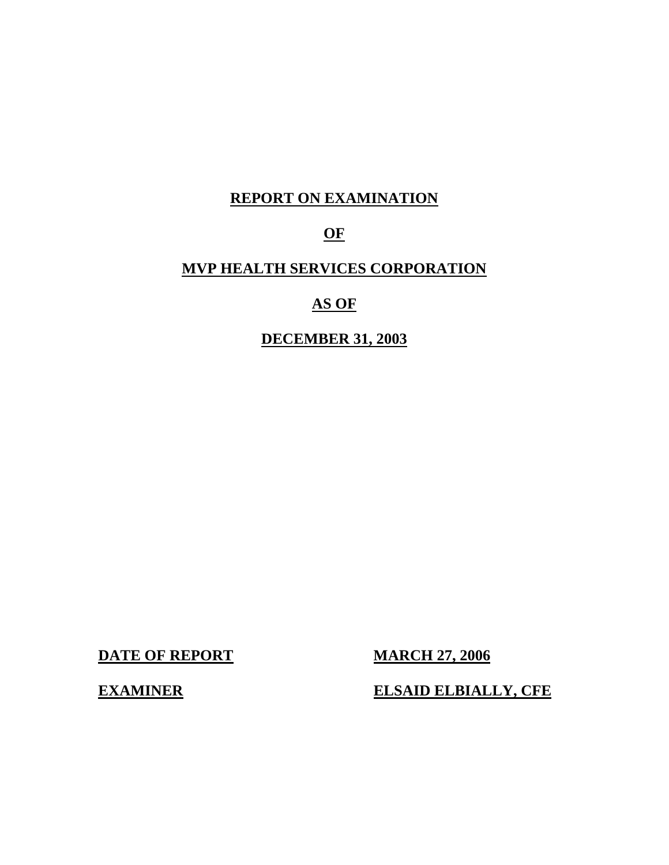# **REPORT ON EXAMINATION**

# **OF**

# **MVP HEALTH SERVICES CORPORATION**

# **AS OF**

# **DECEMBER 31, 2003**

**DATE OF REPORT MARCH 27, 2006** 

**EXAMINER** 

**ELSAID ELBIALLY, CFE**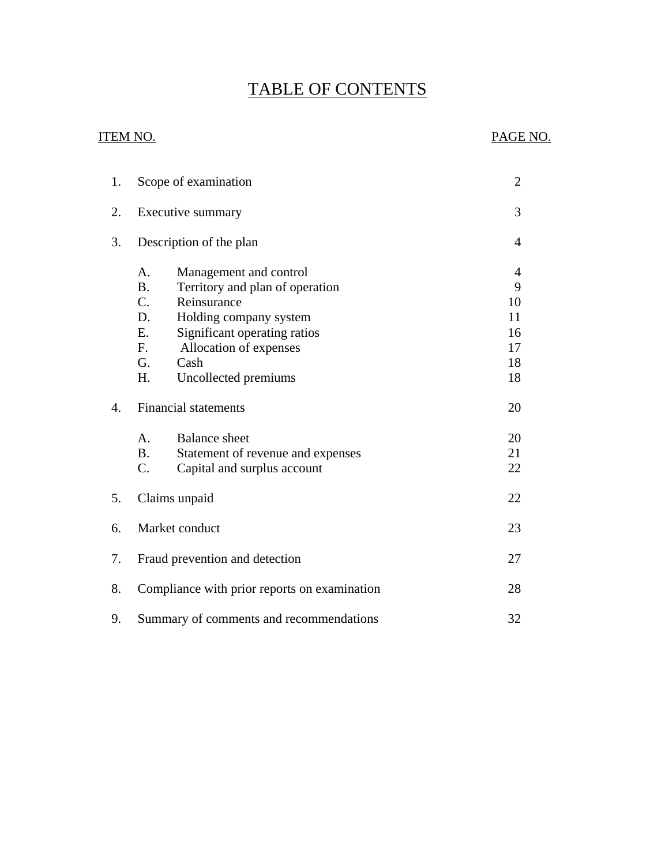# TABLE OF CONTENTS

#### ITEM NO. PAGE NO.

| 1. | Scope of examination                           | $\overline{2}$ |
|----|------------------------------------------------|----------------|
| 2. | Executive summary                              | 3              |
| 3. | Description of the plan                        | $\overline{4}$ |
|    | A.<br>Management and control                   | 4              |
|    | <b>B.</b><br>Territory and plan of operation   | 9              |
|    | $\mathcal{C}$ .<br>Reinsurance                 | 10             |
|    | D.<br>Holding company system                   | 11             |
|    | Ε.<br>Significant operating ratios             | 16             |
|    | Allocation of expenses<br>F.                   | 17             |
|    | G.<br>Cash                                     | 18             |
|    | H.<br>Uncollected premiums                     | 18             |
| 4. | <b>Financial statements</b>                    | 20             |
|    | A <sub>1</sub><br><b>Balance</b> sheet         | 20             |
|    | <b>B.</b><br>Statement of revenue and expenses | 21             |
|    | C.<br>Capital and surplus account              | 22             |
| 5. | Claims unpaid                                  | 22             |
| 6. | Market conduct                                 | 23             |
| 7. | Fraud prevention and detection                 | 27             |
| 8. | Compliance with prior reports on examination   | 28             |
| 9. | Summary of comments and recommendations        | 32             |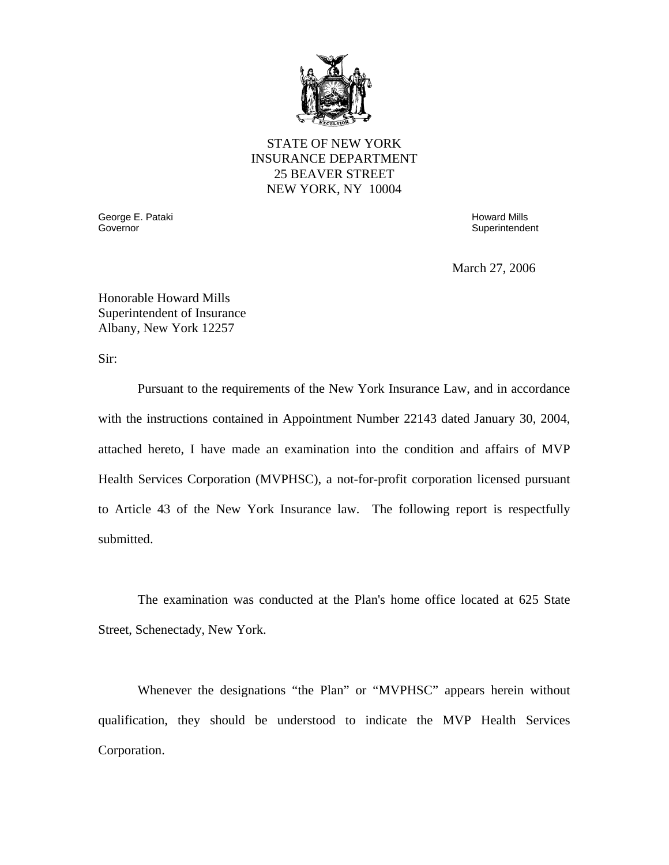

#### STATE OF NEW YORK INSURANCE DEPARTMENT 25 BEAVER STREET NEW YORK, NY 10004

Governor George E. Pataki Governor Howard Mills

**Superintendent** 

March 27, 2006

Honorable Howard Mills Superintendent of Insurance Albany, New York 12257

Sir:

Pursuant to the requirements of the New York Insurance Law, and in accordance with the instructions contained in Appointment Number 22143 dated January 30, 2004, attached hereto, I have made an examination into the condition and affairs of MVP Health Services Corporation (MVPHSC), a not-for-profit corporation licensed pursuant to Article 43 of the New York Insurance law. The following report is respectfully submitted.

The examination was conducted at the Plan's home office located at 625 State Street, Schenectady, New York.

Whenever the designations "the Plan" or "MVPHSC" appears herein without qualification, they should be understood to indicate the MVP Health Services Corporation.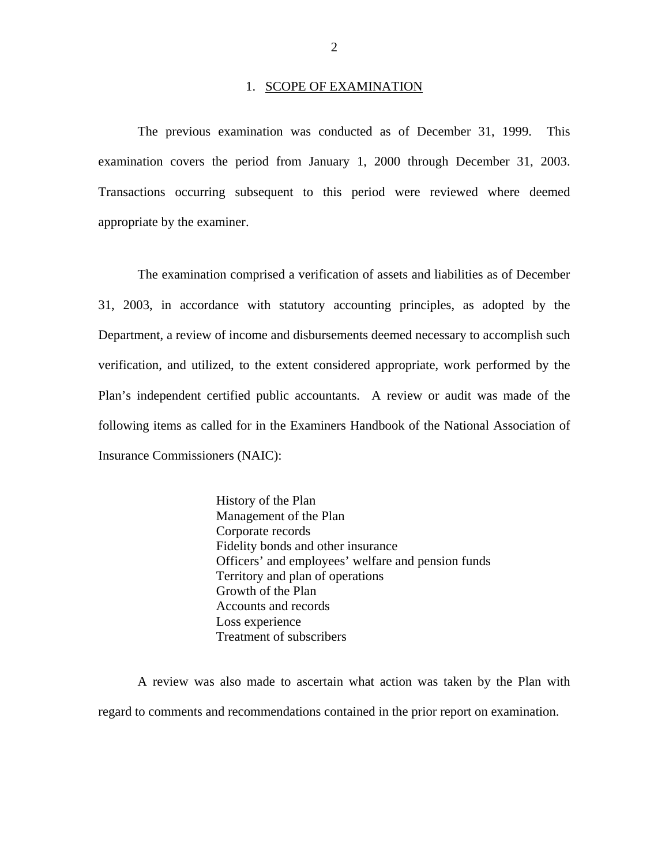#### 1. SCOPE OF EXAMINATION

<span id="page-3-0"></span> examination covers the period from January 1, 2000 through December 31, 2003. The previous examination was conducted as of December 31, 1999. This Transactions occurring subsequent to this period were reviewed where deemed appropriate by the examiner.

The examination comprised a verification of assets and liabilities as of December 31, 2003, in accordance with statutory accounting principles, as adopted by the Department, a review of income and disbursements deemed necessary to accomplish such verification, and utilized, to the extent considered appropriate, work performed by the Plan's independent certified public accountants. A review or audit was made of the following items as called for in the Examiners Handbook of the National Association of Insurance Commissioners (NAIC):

> History of the Plan Management of the Plan Corporate records Fidelity bonds and other insurance Officers' and employees' welfare and pension funds Territory and plan of operations Growth of the Plan Accounts and records Loss experience Treatment of subscribers

A review was also made to ascertain what action was taken by the Plan with regard to comments and recommendations contained in the prior report on examination.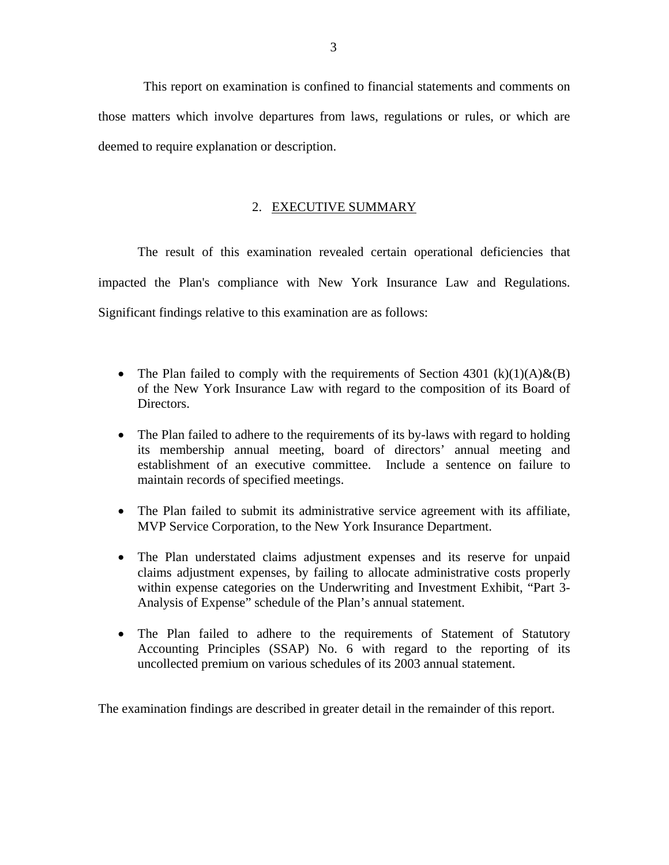<span id="page-4-0"></span>This report on examination is confined to financial statements and comments on those matters which involve departures from laws, regulations or rules, or which are deemed to require explanation or description.

#### 2. EXECUTIVE SUMMARY

The result of this examination revealed certain operational deficiencies that impacted the Plan's compliance with New York Insurance Law and Regulations. Significant findings relative to this examination are as follows:

- The Plan failed to comply with the requirements of Section 4301 (k)(1)(A)&(B) of the New York Insurance Law with regard to the composition of its Board of Directors.
- The Plan failed to adhere to the requirements of its by-laws with regard to holding its membership annual meeting, board of directors' annual meeting and establishment of an executive committee. Include a sentence on failure to maintain records of specified meetings.
- The Plan failed to submit its administrative service agreement with its affiliate, MVP Service Corporation, to the New York Insurance Department.
- The Plan understated claims adjustment expenses and its reserve for unpaid claims adjustment expenses, by failing to allocate administrative costs properly within expense categories on the Underwriting and Investment Exhibit, "Part 3- Analysis of Expense" schedule of the Plan's annual statement.
- The Plan failed to adhere to the requirements of Statement of Statutory Accounting Principles (SSAP) No. 6 with regard to the reporting of its uncollected premium on various schedules of its 2003 annual statement.

The examination findings are described in greater detail in the remainder of this report.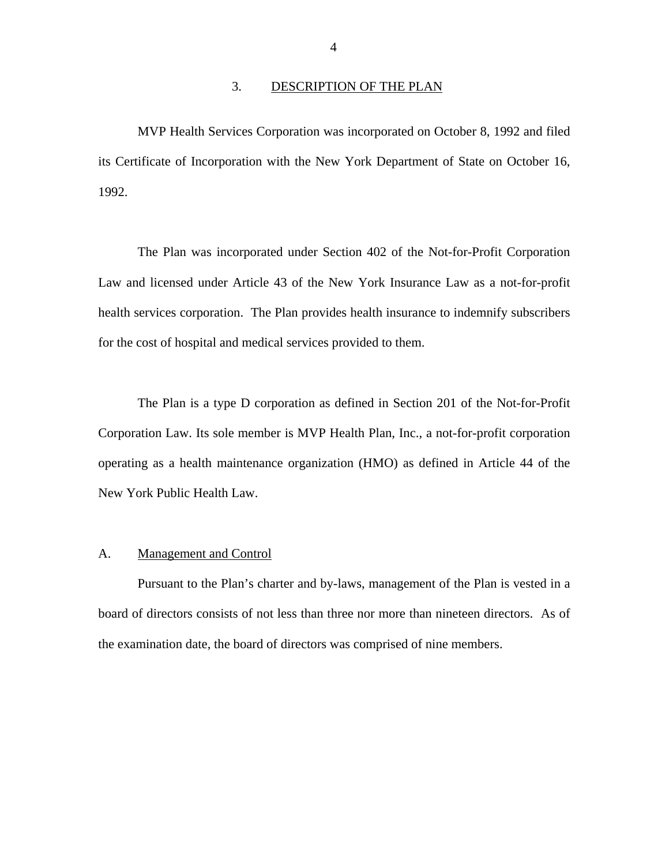#### 3. DESCRIPTION OF THE PLAN

<span id="page-5-0"></span>MVP Health Services Corporation was incorporated on October 8, 1992 and filed its Certificate of Incorporation with the New York Department of State on October 16, 1992.

The Plan was incorporated under Section 402 of the Not-for-Profit Corporation Law and licensed under Article 43 of the New York Insurance Law as a not-for-profit health services corporation. The Plan provides health insurance to indemnify subscribers for the cost of hospital and medical services provided to them.

The Plan is a type D corporation as defined in Section 201 of the Not-for-Profit Corporation Law. Its sole member is MVP Health Plan, Inc., a not-for-profit corporation operating as a health maintenance organization (HMO) as defined in Article 44 of the New York Public Health Law.

#### A. Management and Control

Pursuant to the Plan's charter and by-laws, management of the Plan is vested in a board of directors consists of not less than three nor more than nineteen directors. As of the examination date, the board of directors was comprised of nine members.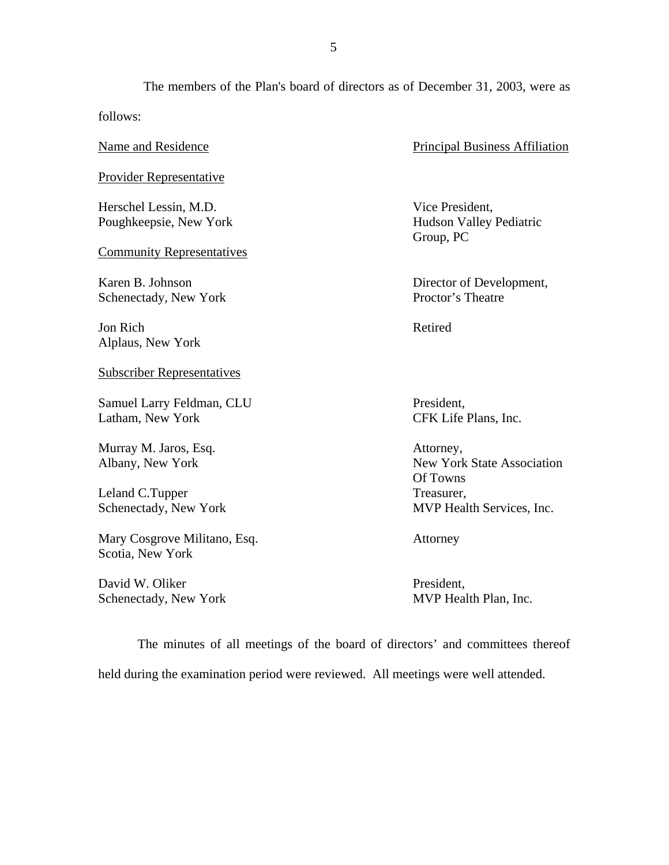The members of the Plan's board of directors as of December 31, 2003, were as follows:

Name and Residence

Provider Representative

Herschel Lessin, M.D. Poughkeepsie, New York

Community Representatives

Karen B. Johnson Schenectady, New York

 Jon Rich Alplaus, New York

Subscriber Representatives

Samuel Larry Feldman, CLU Latham, New York

Murray M. Jaros, Esq. Albany, New York

Leland C.Tupper Schenectady, New York

Mary Cosgrove Militano, Esq. Scotia, New York

 David W. Oliker Schenectady, New York Principal Business Affiliation

 Vice President, Hudson Valley Pediatric Group, PC

 Director of Development, Proctor's Theatre

Retired

 President, CFK Life Plans, Inc.

 Of Towns Attorney, New York State Association Treasurer, MVP Health Services, Inc.

Attorney

 President, MVP Health Plan, Inc.

The minutes of all meetings of the board of directors' and committees thereof held during the examination period were reviewed. All meetings were well attended.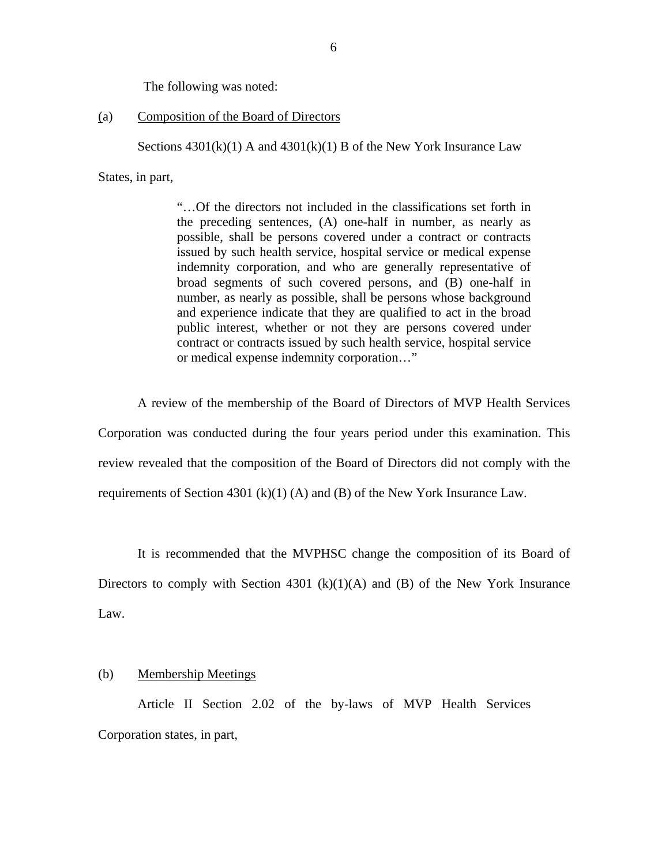The following was noted:

#### (a) Composition of the Board of Directors

Sections  $4301(k)(1)$  A and  $4301(k)(1)$  B of the New York Insurance Law

States, in part,

"…Of the directors not included in the classifications set forth in the preceding sentences, (A) one-half in number, as nearly as possible, shall be persons covered under a contract or contracts issued by such health service, hospital service or medical expense indemnity corporation, and who are generally representative of broad segments of such covered persons, and (B) one-half in number, as nearly as possible, shall be persons whose background and experience indicate that they are qualified to act in the broad public interest, whether or not they are persons covered under contract or contracts issued by such health service, hospital service or medical expense indemnity corporation…"

A review of the membership of the Board of Directors of MVP Health Services Corporation was conducted during the four years period under this examination. This review revealed that the composition of the Board of Directors did not comply with the requirements of Section 4301 (k)(1) (A) and (B) of the New York Insurance Law.

It is recommended that the MVPHSC change the composition of its Board of Directors to comply with Section 4301 (k)(1)(A) and (B) of the New York Insurance Law.

#### (b) Membership Meetings

Article II Section 2.02 of the by-laws of MVP Health Services Corporation states, in part,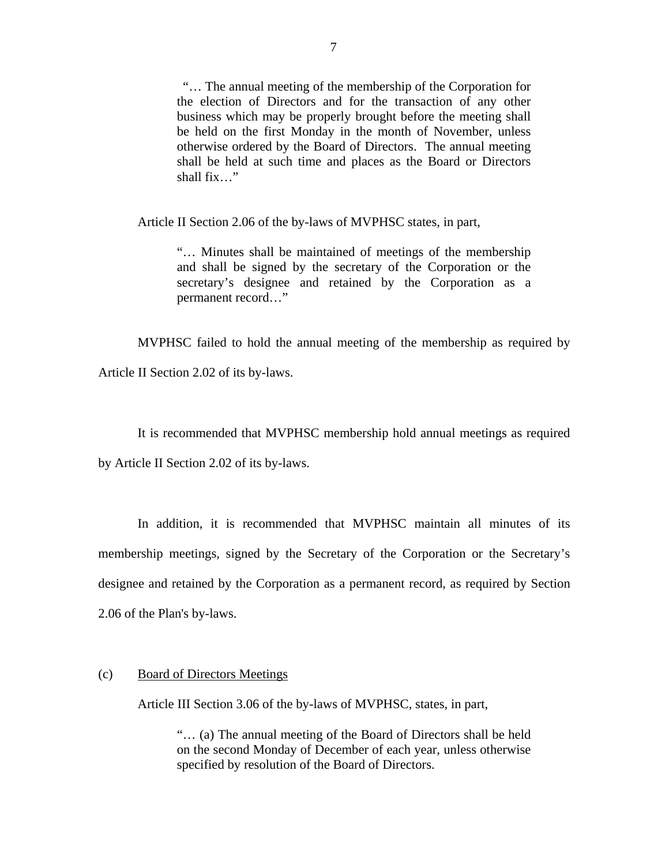"… The annual meeting of the membership of the Corporation for the election of Directors and for the transaction of any other business which may be properly brought before the meeting shall be held on the first Monday in the month of November, unless otherwise ordered by the Board of Directors. The annual meeting shall be held at such time and places as the Board or Directors shall fix…"

Article II Section 2.06 of the by-laws of MVPHSC states, in part,

"… Minutes shall be maintained of meetings of the membership and shall be signed by the secretary of the Corporation or the secretary's designee and retained by the Corporation as a permanent record…"

MVPHSC failed to hold the annual meeting of the membership as required by

Article II Section 2.02 of its by-laws.

It is recommended that MVPHSC membership hold annual meetings as required

by Article II Section 2.02 of its by-laws.

In addition, it is recommended that MVPHSC maintain all minutes of its membership meetings, signed by the Secretary of the Corporation or the Secretary's designee and retained by the Corporation as a permanent record, as required by Section 2.06 of the Plan's by-laws.

#### (c) Board of Directors Meetings

Article III Section 3.06 of the by-laws of MVPHSC, states, in part,

"… (a) The annual meeting of the Board of Directors shall be held on the second Monday of December of each year, unless otherwise specified by resolution of the Board of Directors.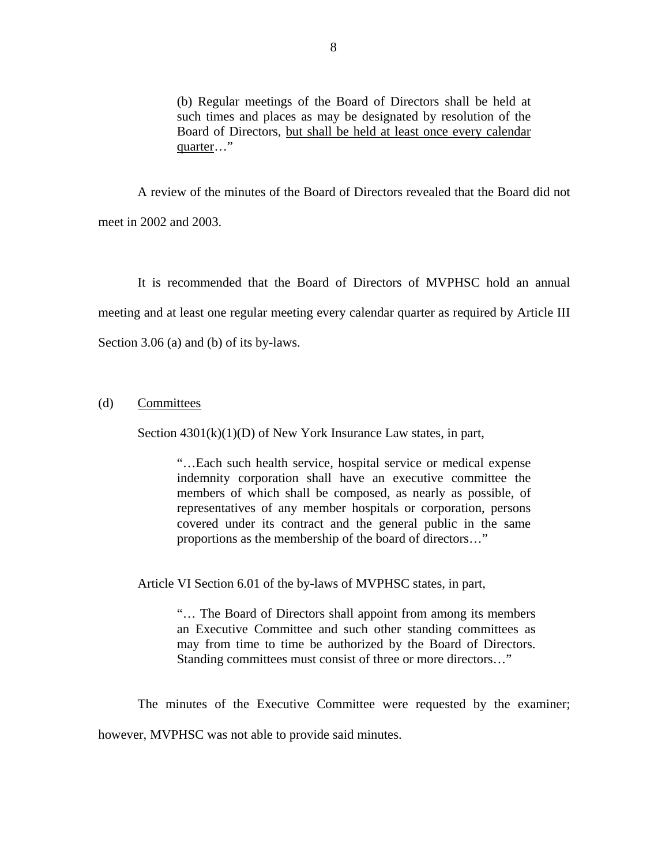(b) Regular meetings of the Board of Directors shall be held at such times and places as may be designated by resolution of the Board of Directors, but shall be held at least once every calendar quarter…"

A review of the minutes of the Board of Directors revealed that the Board did not meet in 2002 and 2003.

It is recommended that the Board of Directors of MVPHSC hold an annual meeting and at least one regular meeting every calendar quarter as required by Article III Section 3.06 (a) and (b) of its by-laws.

#### (d) Committees

Section  $4301(k)(1)(D)$  of New York Insurance Law states, in part,

"…Each such health service, hospital service or medical expense indemnity corporation shall have an executive committee the members of which shall be composed, as nearly as possible, of representatives of any member hospitals or corporation, persons covered under its contract and the general public in the same proportions as the membership of the board of directors…"

Article VI Section 6.01 of the by-laws of MVPHSC states, in part,

"… The Board of Directors shall appoint from among its members an Executive Committee and such other standing committees as may from time to time be authorized by the Board of Directors. Standing committees must consist of three or more directors…"

The minutes of the Executive Committee were requested by the examiner; however, MVPHSC was not able to provide said minutes.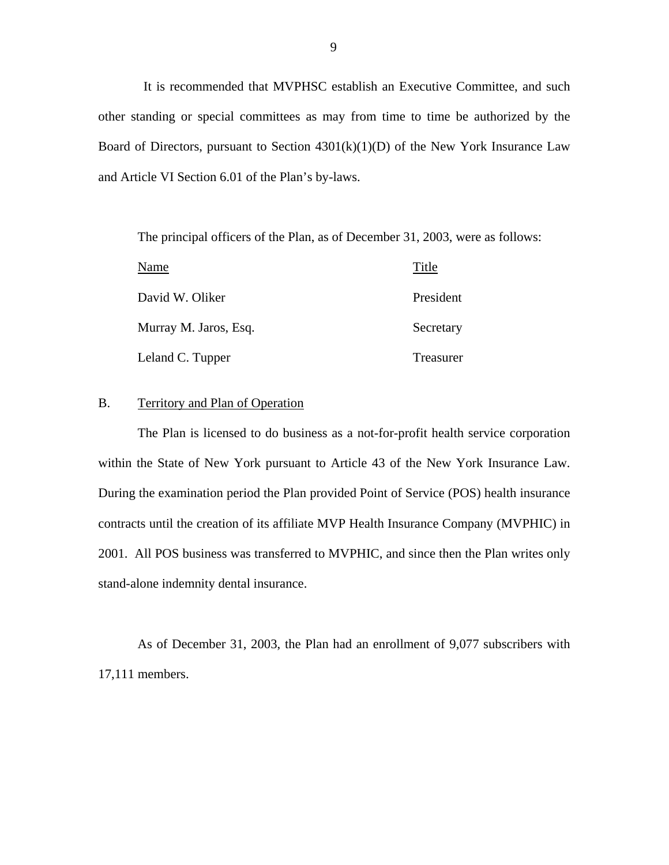<span id="page-10-0"></span>It is recommended that MVPHSC establish an Executive Committee, and such other standing or special committees as may from time to time be authorized by the Board of Directors, pursuant to Section  $4301(k)(1)(D)$  of the New York Insurance Law and Article VI Section 6.01 of the Plan's by-laws.

The principal officers of the Plan, as of December 31, 2003, were as follows:

| Name                  | Title     |
|-----------------------|-----------|
| David W. Oliker       | President |
| Murray M. Jaros, Esq. | Secretary |
| Leland C. Tupper      | Treasurer |

#### B. Territory and Plan of Operation

The Plan is licensed to do business as a not-for-profit health service corporation within the State of New York pursuant to Article 43 of the New York Insurance Law. During the examination period the Plan provided Point of Service (POS) health insurance contracts until the creation of its affiliate MVP Health Insurance Company (MVPHIC) in 2001. All POS business was transferred to MVPHIC, and since then the Plan writes only stand-alone indemnity dental insurance.

As of December 31, 2003, the Plan had an enrollment of 9,077 subscribers with 17,111 members.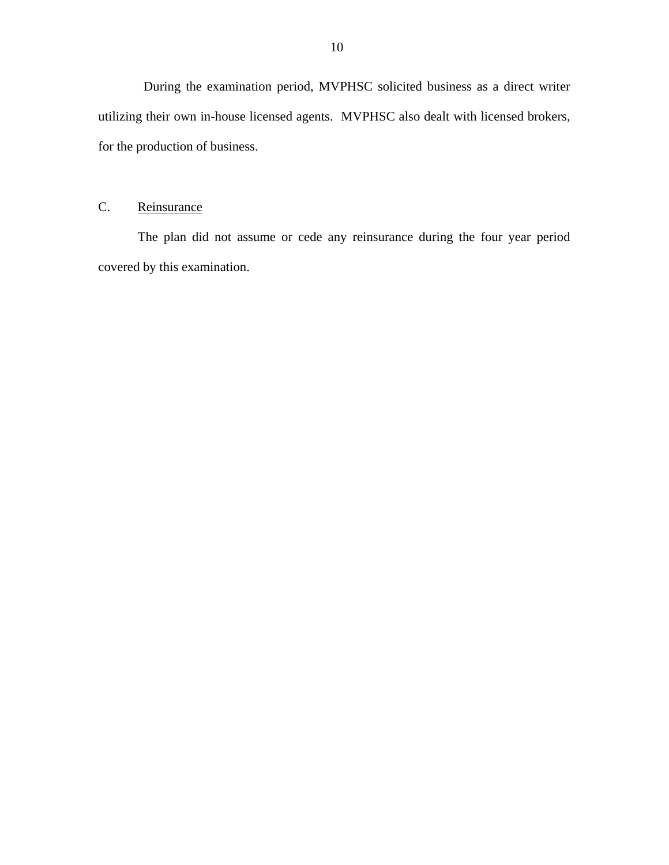<span id="page-11-0"></span>During the examination period, MVPHSC solicited business as a direct writer utilizing their own in-house licensed agents. MVPHSC also dealt with licensed brokers, for the production of business.

# C. Reinsurance

The plan did not assume or cede any reinsurance during the four year period covered by this examination.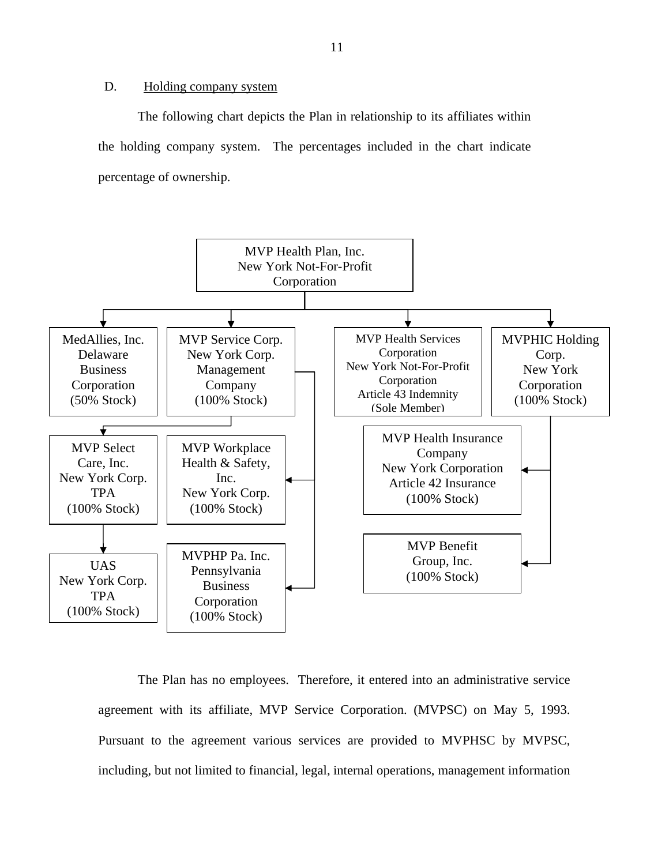#### D. Holding company system

The following chart depicts the Plan in relationship to its affiliates within the holding company system. The percentages included in the chart indicate percentage of ownership.



The Plan has no employees. Therefore, it entered into an administrative service agreement with its affiliate, MVP Service Corporation. (MVPSC) on May 5, 1993. Pursuant to the agreement various services are provided to MVPHSC by MVPSC, including, but not limited to financial, legal, internal operations, management information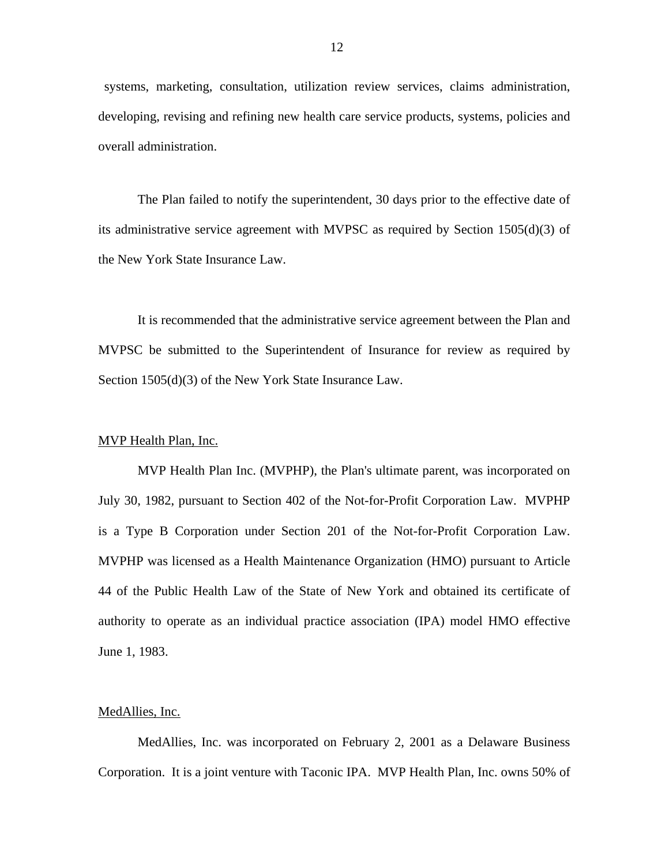systems, marketing, consultation, utilization review services, claims administration, developing, revising and refining new health care service products, systems, policies and overall administration.

The Plan failed to notify the superintendent, 30 days prior to the effective date of its administrative service agreement with MVPSC as required by Section 1505(d)(3) of the New York State Insurance Law.

It is recommended that the administrative service agreement between the Plan and MVPSC be submitted to the Superintendent of Insurance for review as required by Section 1505(d)(3) of the New York State Insurance Law.

#### MVP Health Plan, Inc.

MVP Health Plan Inc. (MVPHP), the Plan's ultimate parent, was incorporated on July 30, 1982, pursuant to Section 402 of the Not-for-Profit Corporation Law. MVPHP is a Type B Corporation under Section 201 of the Not-for-Profit Corporation Law. MVPHP was licensed as a Health Maintenance Organization (HMO) pursuant to Article 44 of the Public Health Law of the State of New York and obtained its certificate of authority to operate as an individual practice association (IPA) model HMO effective June 1, 1983.

#### MedAllies, Inc.

MedAllies, Inc. was incorporated on February 2, 2001 as a Delaware Business Corporation. It is a joint venture with Taconic IPA. MVP Health Plan, Inc. owns 50% of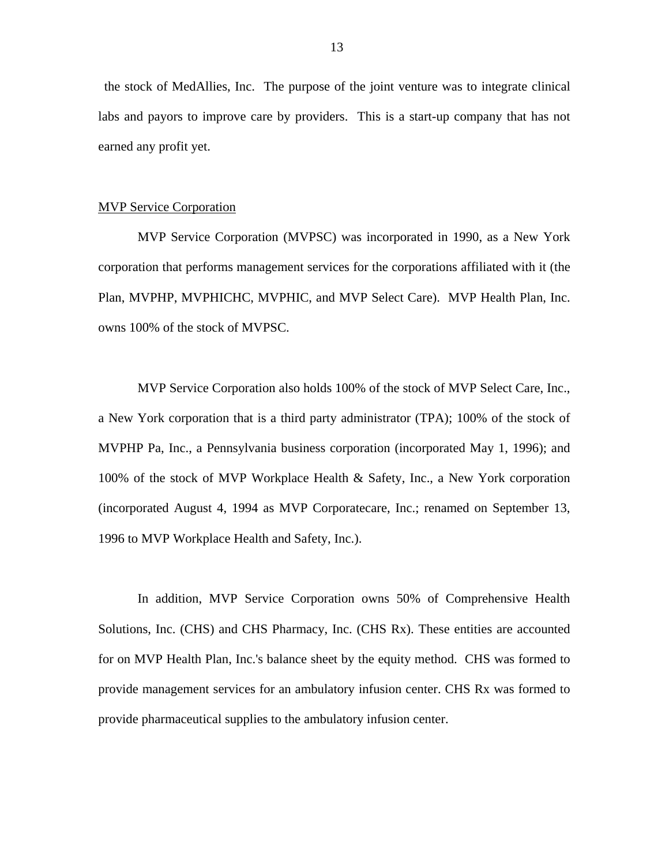the stock of MedAllies, Inc. The purpose of the joint venture was to integrate clinical labs and payors to improve care by providers. This is a start-up company that has not earned any profit yet.

#### MVP Service Corporation

MVP Service Corporation (MVPSC) was incorporated in 1990, as a New York corporation that performs management services for the corporations affiliated with it (the Plan, MVPHP, MVPHICHC, MVPHIC, and MVP Select Care). MVP Health Plan, Inc. owns 100% of the stock of MVPSC.

MVP Service Corporation also holds 100% of the stock of MVP Select Care, Inc., a New York corporation that is a third party administrator (TPA); 100% of the stock of MVPHP Pa, Inc., a Pennsylvania business corporation (incorporated May 1, 1996); and 100% of the stock of MVP Workplace Health & Safety, Inc., a New York corporation (incorporated August 4, 1994 as MVP Corporatecare, Inc.; renamed on September 13, 1996 to MVP Workplace Health and Safety, Inc.).

In addition, MVP Service Corporation owns 50% of Comprehensive Health Solutions, Inc. (CHS) and CHS Pharmacy, Inc. (CHS Rx). These entities are accounted for on MVP Health Plan, Inc.'s balance sheet by the equity method. CHS was formed to provide management services for an ambulatory infusion center. CHS Rx was formed to provide pharmaceutical supplies to the ambulatory infusion center.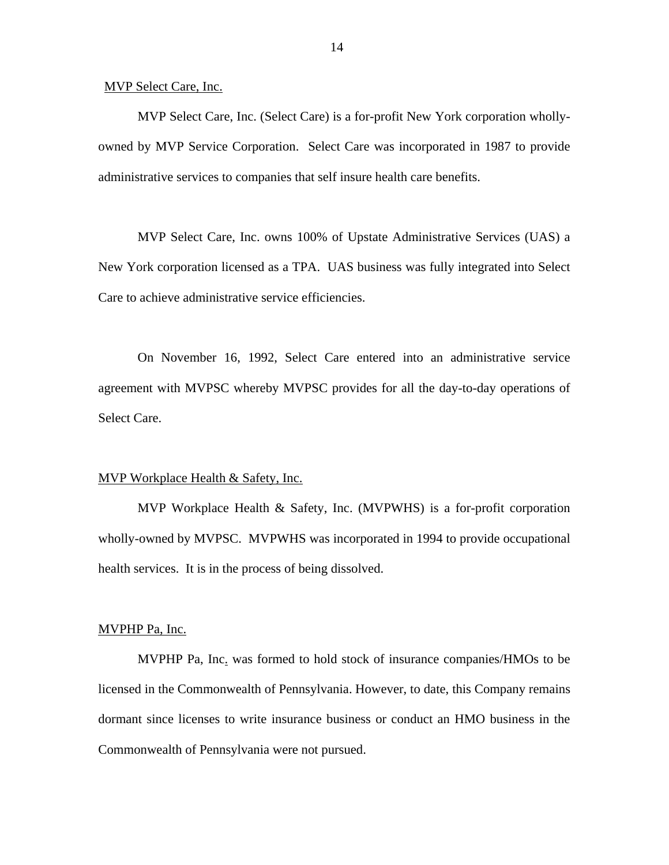MVP Select Care, Inc.

MVP Select Care, Inc. (Select Care) is a for-profit New York corporation whollyowned by MVP Service Corporation. Select Care was incorporated in 1987 to provide administrative services to companies that self insure health care benefits.

MVP Select Care, Inc. owns 100% of Upstate Administrative Services (UAS) a New York corporation licensed as a TPA. UAS business was fully integrated into Select Care to achieve administrative service efficiencies.

On November 16, 1992, Select Care entered into an administrative service agreement with MVPSC whereby MVPSC provides for all the day-to-day operations of Select Care.

#### MVP Workplace Health & Safety, Inc.

MVP Workplace Health & Safety, Inc. (MVPWHS) is a for-profit corporation wholly-owned by MVPSC. MVPWHS was incorporated in 1994 to provide occupational health services. It is in the process of being dissolved.

#### MVPHP Pa, Inc.

MVPHP Pa, Inc. was formed to hold stock of insurance companies/HMOs to be licensed in the Commonwealth of Pennsylvania. However, to date, this Company remains dormant since licenses to write insurance business or conduct an HMO business in the Commonwealth of Pennsylvania were not pursued.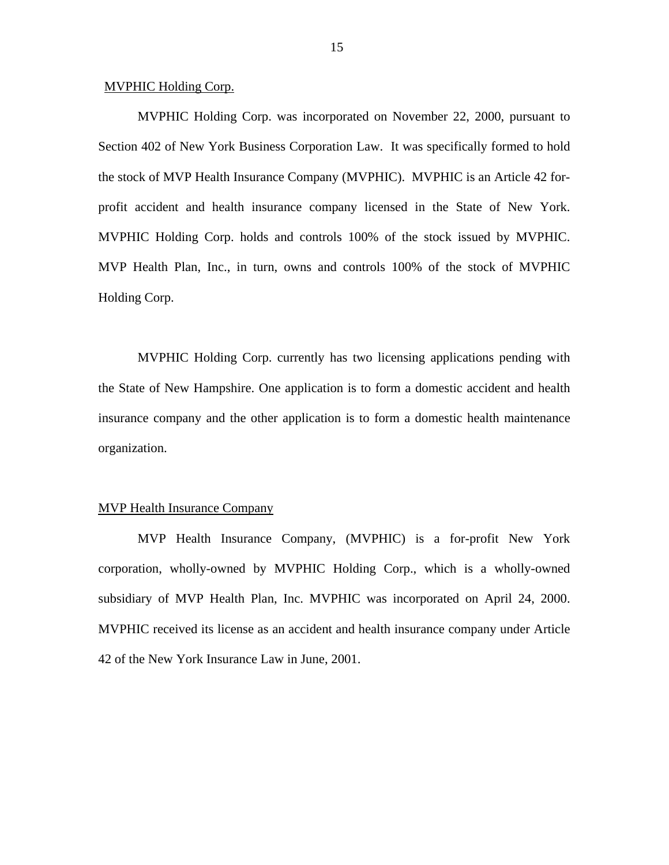#### MVPHIC Holding Corp.

MVPHIC Holding Corp. was incorporated on November 22, 2000, pursuant to Section 402 of New York Business Corporation Law. It was specifically formed to hold the stock of MVP Health Insurance Company (MVPHIC). MVPHIC is an Article 42 forprofit accident and health insurance company licensed in the State of New York. MVPHIC Holding Corp. holds and controls 100% of the stock issued by MVPHIC. MVP Health Plan, Inc., in turn, owns and controls 100% of the stock of MVPHIC Holding Corp.

MVPHIC Holding Corp. currently has two licensing applications pending with the State of New Hampshire. One application is to form a domestic accident and health insurance company and the other application is to form a domestic health maintenance organization.

#### MVP Health Insurance Company

MVP Health Insurance Company, (MVPHIC) is a for-profit New York corporation, wholly-owned by MVPHIC Holding Corp., which is a wholly-owned subsidiary of MVP Health Plan, Inc. MVPHIC was incorporated on April 24, 2000. MVPHIC received its license as an accident and health insurance company under Article 42 of the New York Insurance Law in June, 2001.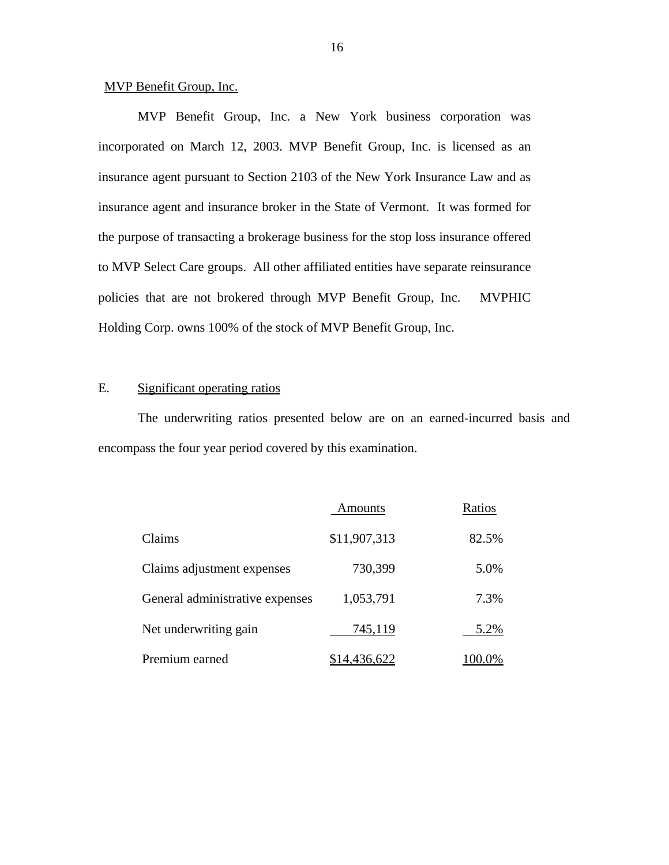#### MVP Benefit Group, Inc.

MVP Benefit Group, Inc. a New York business corporation was incorporated on March 12, 2003. MVP Benefit Group, Inc. is licensed as an insurance agent pursuant to Section 2103 of the New York Insurance Law and as insurance agent and insurance broker in the State of Vermont. It was formed for the purpose of transacting a brokerage business for the stop loss insurance offered to MVP Select Care groups. All other affiliated entities have separate reinsurance policies that are not brokered through MVP Benefit Group, Inc. MVPHIC Holding Corp. owns 100% of the stock of MVP Benefit Group, Inc.

#### E. Significant operating ratios

The underwriting ratios presented below are on an earned-incurred basis and encompass the four year period covered by this examination.

|                                 | Amounts      | Ratios |
|---------------------------------|--------------|--------|
| Claims                          | \$11,907,313 | 82.5%  |
| Claims adjustment expenses      | 730,399      | 5.0%   |
| General administrative expenses | 1,053,791    | 7.3%   |
| Net underwriting gain           | 745,119      | 5.2%   |
| Premium earned                  |              |        |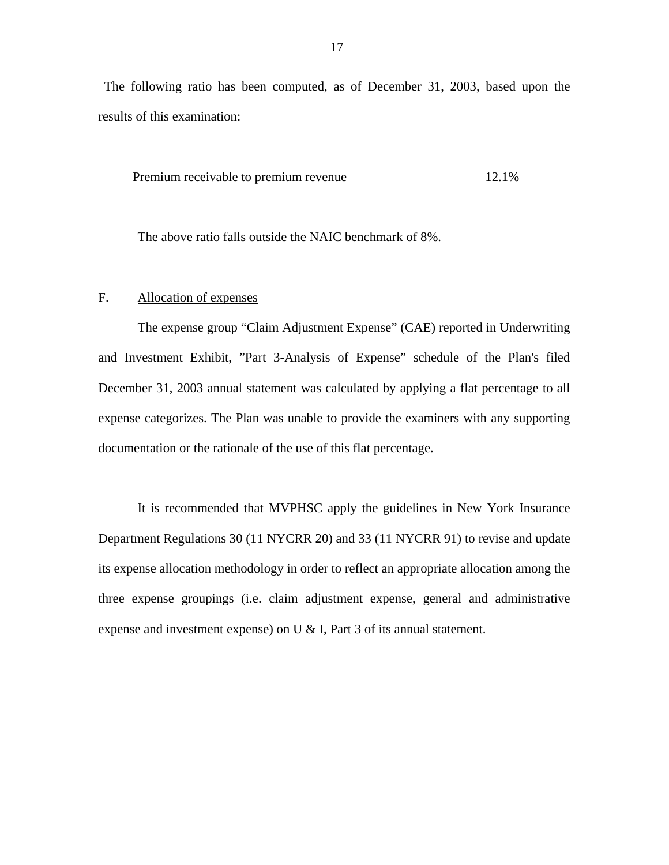<span id="page-18-0"></span>The following ratio has been computed, as of December 31, 2003, based upon the results of this examination:

Premium receivable to premium revenue 12.1%

The above ratio falls outside the NAIC benchmark of 8%.

#### F. Allocation of expenses

The expense group "Claim Adjustment Expense" (CAE) reported in Underwriting and Investment Exhibit, "Part 3-Analysis of Expense" schedule of the Plan's filed December 31, 2003 annual statement was calculated by applying a flat percentage to all expense categorizes. The Plan was unable to provide the examiners with any supporting documentation or the rationale of the use of this flat percentage.

It is recommended that MVPHSC apply the guidelines in New York Insurance Department Regulations 30 (11 NYCRR 20) and 33 (11 NYCRR 91) to revise and update its expense allocation methodology in order to reflect an appropriate allocation among the three expense groupings (i.e. claim adjustment expense, general and administrative expense and investment expense) on U & I, Part 3 of its annual statement.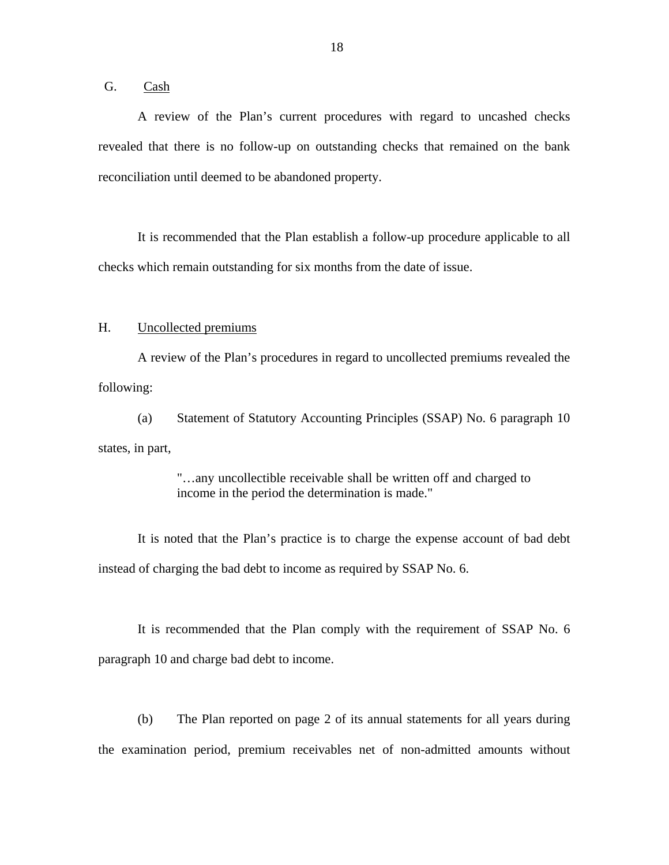<span id="page-19-0"></span>G. Cash

A review of the Plan's current procedures with regard to uncashed checks revealed that there is no follow-up on outstanding checks that remained on the bank reconciliation until deemed to be abandoned property.

It is recommended that the Plan establish a follow-up procedure applicable to all checks which remain outstanding for six months from the date of issue.

#### H. Uncollected premiums

A review of the Plan's procedures in regard to uncollected premiums revealed the following:

(a) Statement of Statutory Accounting Principles (SSAP) No. 6 paragraph 10 states, in part,

> "…any uncollectible receivable shall be written off and charged to income in the period the determination is made."

It is noted that the Plan's practice is to charge the expense account of bad debt instead of charging the bad debt to income as required by SSAP No. 6.

It is recommended that the Plan comply with the requirement of SSAP No. 6 paragraph 10 and charge bad debt to income.

(b) The Plan reported on page 2 of its annual statements for all years during the examination period, premium receivables net of non-admitted amounts without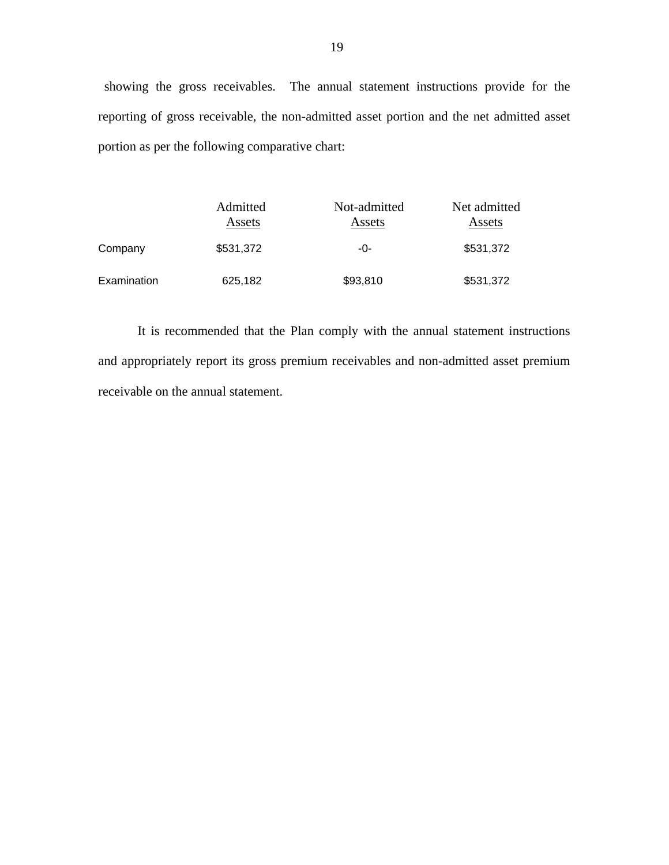showing the gross receivables. The annual statement instructions provide for the reporting of gross receivable, the non-admitted asset portion and the net admitted asset portion as per the following comparative chart:

|             | Admitted<br>Assets | Not-admitted<br>Assets | Net admitted<br>Assets |
|-------------|--------------------|------------------------|------------------------|
| Company     | \$531,372          | -0-                    | \$531,372              |
| Examination | 625,182            | \$93,810               | \$531,372              |

It is recommended that the Plan comply with the annual statement instructions and appropriately report its gross premium receivables and non-admitted asset premium receivable on the annual statement.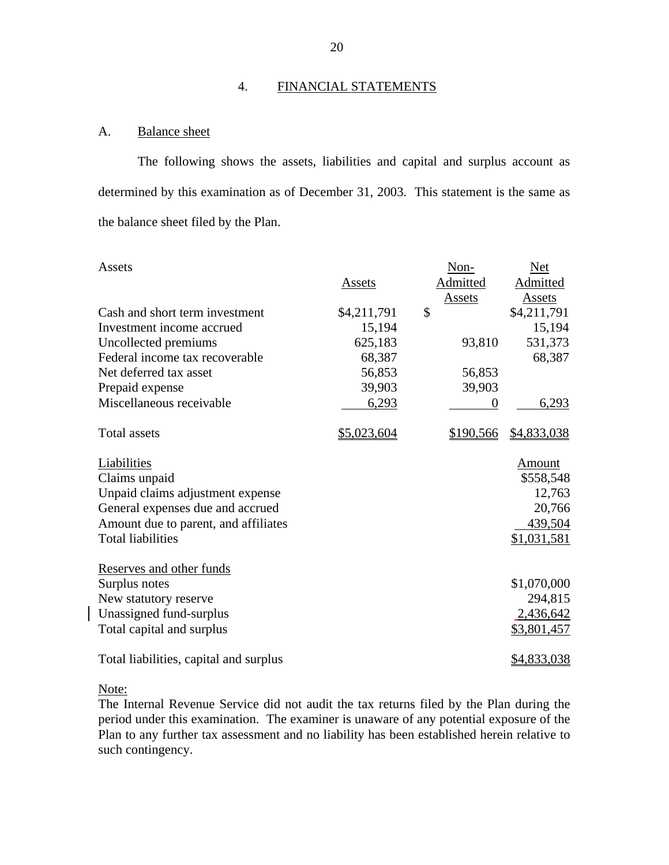#### 4. FINANCIAL STATEMENTS

### A. Balance sheet

The following shows the assets, liabilities and capital and surplus account as determined by this examination as of December 31, 2003. This statement is the same as the balance sheet filed by the Plan.

| Assets                                 |             | Non-           | <b>Net</b>      |
|----------------------------------------|-------------|----------------|-----------------|
|                                        | Assets      | Admitted       | <b>Admitted</b> |
|                                        |             | Assets         | Assets          |
| Cash and short term investment         | \$4,211,791 | \$             | \$4,211,791     |
| Investment income accrued              | 15,194      |                | 15,194          |
| Uncollected premiums                   | 625,183     | 93,810         | 531,373         |
| Federal income tax recoverable         | 68,387      |                | 68,387          |
| Net deferred tax asset                 | 56,853      | 56,853         |                 |
| Prepaid expense                        | 39,903      | 39,903         |                 |
| Miscellaneous receivable               | 6,293       | $\overline{0}$ | 6,293           |
| <b>Total assets</b>                    | \$5,023,604 | \$190,566      | \$4,833,038     |
| Liabilities                            |             |                | Amount          |
| Claims unpaid                          |             |                | \$558,548       |
| Unpaid claims adjustment expense       |             |                | 12,763          |
| General expenses due and accrued       |             |                | 20,766          |
| Amount due to parent, and affiliates   |             |                | 439,504         |
| <b>Total liabilities</b>               |             |                | \$1,031,581     |
| Reserves and other funds               |             |                |                 |
| Surplus notes                          |             |                | \$1,070,000     |
| New statutory reserve                  |             |                | 294,815         |
| Unassigned fund-surplus                |             |                | 2,436,642       |
| Total capital and surplus              |             |                | \$3,801,457     |
| Total liabilities, capital and surplus |             |                | \$4,833,038     |

Note:

The Internal Revenue Service did not audit the tax returns filed by the Plan during the period under this examination. The examiner is unaware of any potential exposure of the Plan to any further tax assessment and no liability has been established herein relative to such contingency.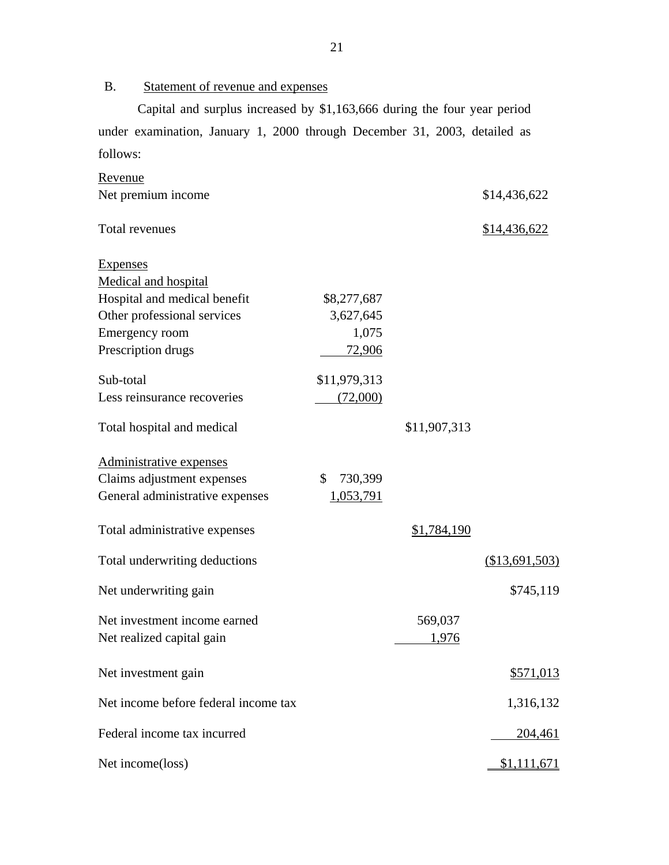B. Statement of revenue and expenses

Capital and surplus increased by \$1,163,666 during the four year period under examination, January 1, 2000 through December 31, 2003, detailed as follows:

| Revenue                              |                         |              |                  |
|--------------------------------------|-------------------------|--------------|------------------|
| Net premium income                   |                         |              | \$14,436,622     |
| Total revenues                       |                         |              | \$14,436,622     |
| <b>Expenses</b>                      |                         |              |                  |
| Medical and hospital                 |                         |              |                  |
| Hospital and medical benefit         | \$8,277,687             |              |                  |
| Other professional services          | 3,627,645               |              |                  |
| Emergency room                       | 1,075                   |              |                  |
| Prescription drugs                   | 72,906                  |              |                  |
| Sub-total                            | \$11,979,313            |              |                  |
| Less reinsurance recoveries          | (72,000)                |              |                  |
|                                      |                         |              |                  |
| Total hospital and medical           |                         | \$11,907,313 |                  |
| Administrative expenses              |                         |              |                  |
| Claims adjustment expenses           | 730,399<br>$\mathbb{S}$ |              |                  |
| General administrative expenses      | 1,053,791               |              |                  |
| Total administrative expenses        |                         | \$1,784,190  |                  |
| Total underwriting deductions        |                         |              | $(\$13,691,503)$ |
| Net underwriting gain                |                         |              | \$745,119        |
| Net investment income earned         |                         | 569,037      |                  |
| Net realized capital gain            |                         | 1,976        |                  |
|                                      |                         |              |                  |
| Net investment gain                  |                         |              | \$571,013        |
| Net income before federal income tax |                         |              | 1,316,132        |
| Federal income tax incurred          |                         |              | <u>204,461</u>   |
| Net income(loss)                     |                         |              | \$1,111,671      |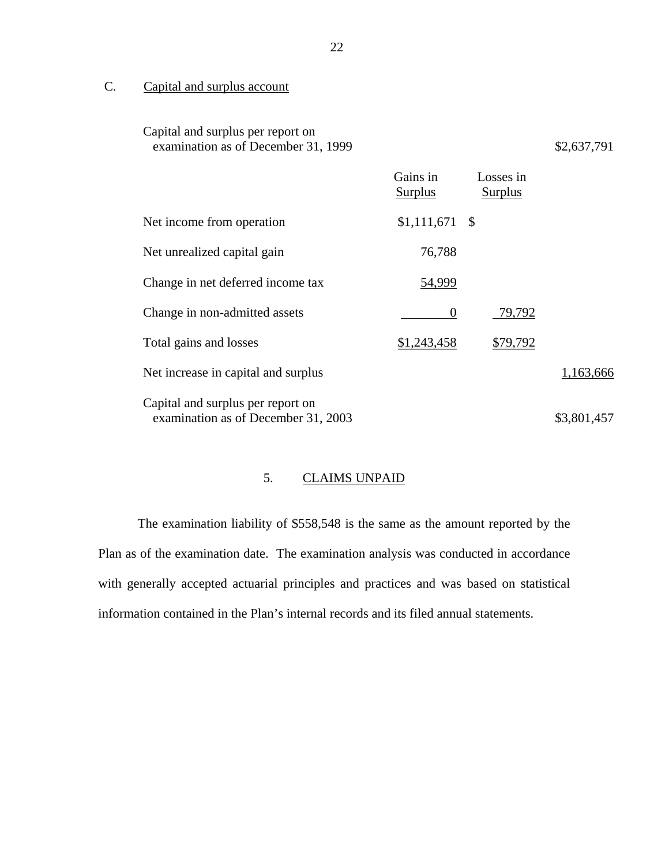C. Capital and surplus account

| Capital and surplus per report on<br>examination as of December 31, 1999 |                            |                             | \$2,637,791 |
|--------------------------------------------------------------------------|----------------------------|-----------------------------|-------------|
|                                                                          | Gains in<br><b>Surplus</b> | Losses in<br><b>Surplus</b> |             |
| Net income from operation                                                | $$1,111,671$ \\$           |                             |             |
| Net unrealized capital gain                                              | 76,788                     |                             |             |
| Change in net deferred income tax                                        | <u>54,999</u>              |                             |             |
| Change in non-admitted assets                                            | 0                          | 79,792                      |             |
| Total gains and losses                                                   | \$1,243,458                | \$79,792                    |             |
| Net increase in capital and surplus                                      |                            |                             | 1,163,666   |
| Capital and surplus per report on<br>examination as of December 31, 2003 |                            |                             | \$3,801,457 |

# 5. CLAIMS UNPAID

The examination liability of \$558,548 is the same as the amount reported by the Plan as of the examination date. The examination analysis was conducted in accordance with generally accepted actuarial principles and practices and was based on statistical information contained in the Plan's internal records and its filed annual statements.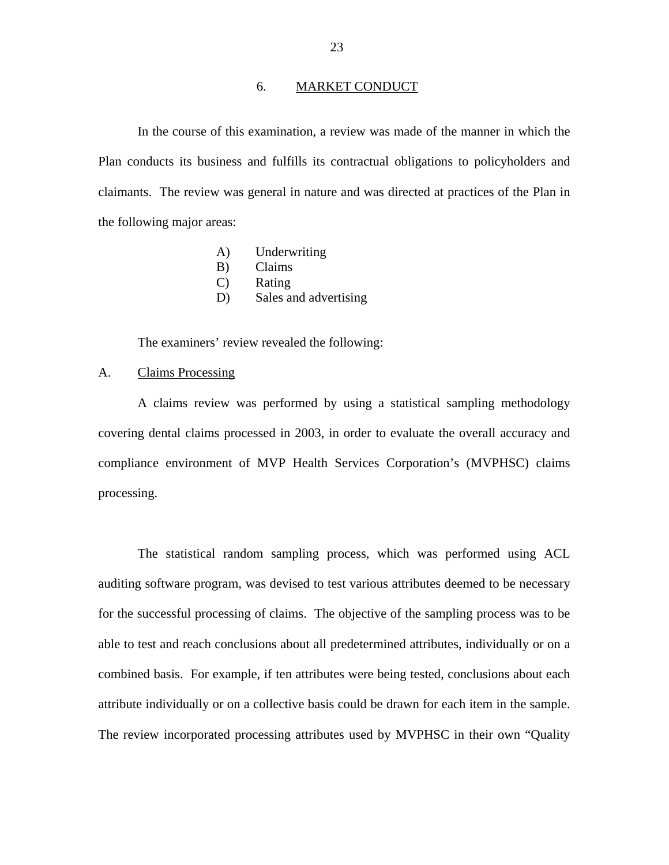#### 6. MARKET CONDUCT

<span id="page-24-0"></span>In the course of this examination, a review was made of the manner in which the Plan conducts its business and fulfills its contractual obligations to policyholders and claimants. The review was general in nature and was directed at practices of the Plan in the following major areas:

- A) Underwriting
- B) Claims
- C) Rating
- D) Sales and advertising

The examiners' review revealed the following:

#### A. Claims Processing

A claims review was performed by using a statistical sampling methodology covering dental claims processed in 2003, in order to evaluate the overall accuracy and compliance environment of MVP Health Services Corporation's (MVPHSC) claims processing.

The statistical random sampling process, which was performed using ACL auditing software program, was devised to test various attributes deemed to be necessary for the successful processing of claims. The objective of the sampling process was to be able to test and reach conclusions about all predetermined attributes, individually or on a combined basis. For example, if ten attributes were being tested, conclusions about each attribute individually or on a collective basis could be drawn for each item in the sample. The review incorporated processing attributes used by MVPHSC in their own "Quality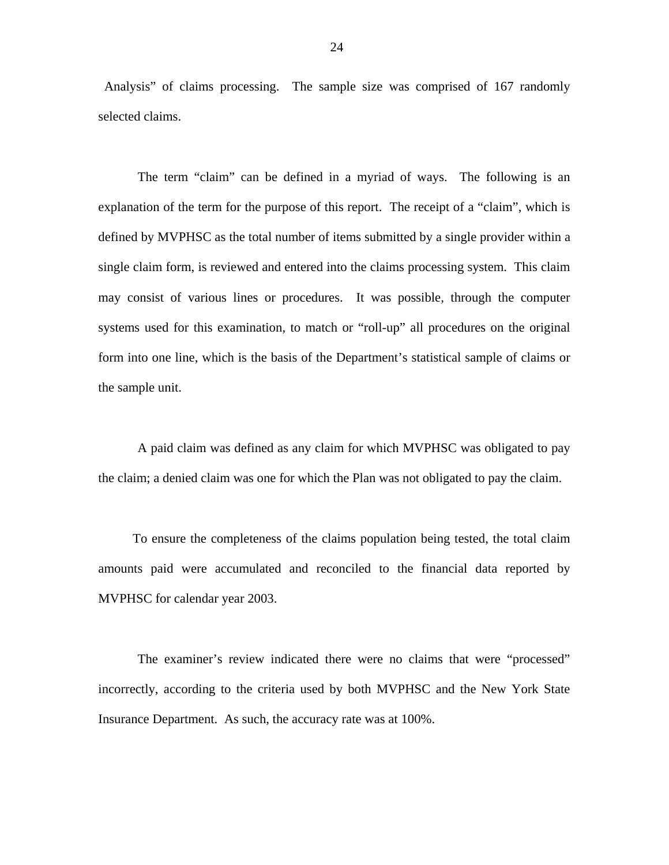Analysis" of claims processing. The sample size was comprised of 167 randomly selected claims.

The term "claim" can be defined in a myriad of ways. The following is an explanation of the term for the purpose of this report. The receipt of a "claim", which is defined by MVPHSC as the total number of items submitted by a single provider within a single claim form, is reviewed and entered into the claims processing system. This claim may consist of various lines or procedures. It was possible, through the computer systems used for this examination, to match or "roll-up" all procedures on the original form into one line, which is the basis of the Department's statistical sample of claims or the sample unit.

A paid claim was defined as any claim for which MVPHSC was obligated to pay the claim; a denied claim was one for which the Plan was not obligated to pay the claim.

To ensure the completeness of the claims population being tested, the total claim amounts paid were accumulated and reconciled to the financial data reported by MVPHSC for calendar year 2003.

The examiner's review indicated there were no claims that were "processed" incorrectly, according to the criteria used by both MVPHSC and the New York State Insurance Department. As such, the accuracy rate was at 100%.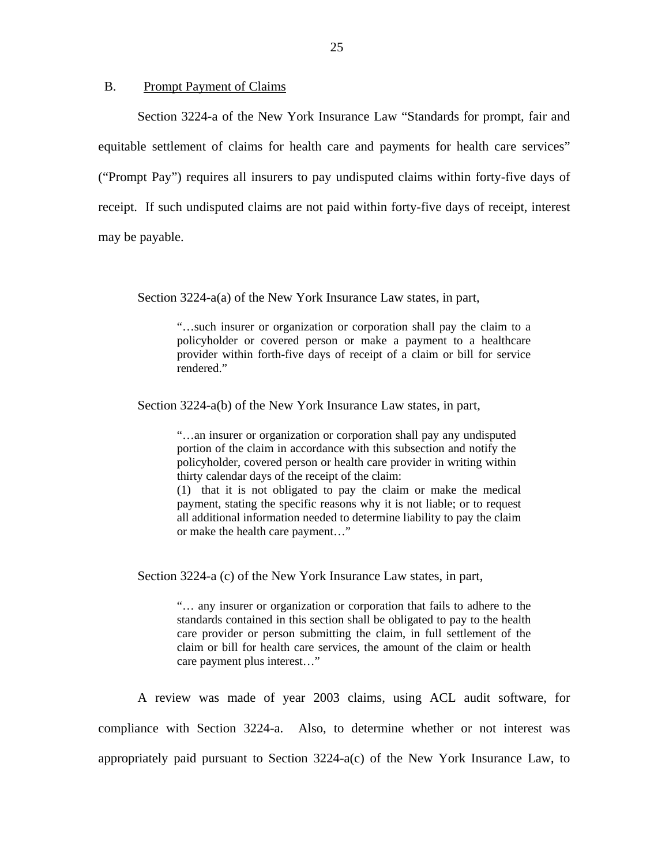#### B. Prompt Payment of Claims

Section 3224-a of the New York Insurance Law "Standards for prompt, fair and equitable settlement of claims for health care and payments for health care services" ("Prompt Pay") requires all insurers to pay undisputed claims within forty-five days of receipt. If such undisputed claims are not paid within forty-five days of receipt, interest may be payable.

Section 3224-a(a) of the New York Insurance Law states, in part,

"…such insurer or organization or corporation shall pay the claim to a policyholder or covered person or make a payment to a healthcare provider within forth-five days of receipt of a claim or bill for service rendered."

Section 3224-a(b) of the New York Insurance Law states, in part,

"…an insurer or organization or corporation shall pay any undisputed portion of the claim in accordance with this subsection and notify the policyholder, covered person or health care provider in writing within thirty calendar days of the receipt of the claim:

(1) that it is not obligated to pay the claim or make the medical payment, stating the specific reasons why it is not liable; or to request all additional information needed to determine liability to pay the claim or make the health care payment…"

Section 3224-a (c) of the New York Insurance Law states, in part,

"… any insurer or organization or corporation that fails to adhere to the standards contained in this section shall be obligated to pay to the health care provider or person submitting the claim, in full settlement of the claim or bill for health care services, the amount of the claim or health care payment plus interest…"

A review was made of year 2003 claims, using ACL audit software, for compliance with Section 3224-a. Also, to determine whether or not interest was appropriately paid pursuant to Section 3224-a(c) of the New York Insurance Law, to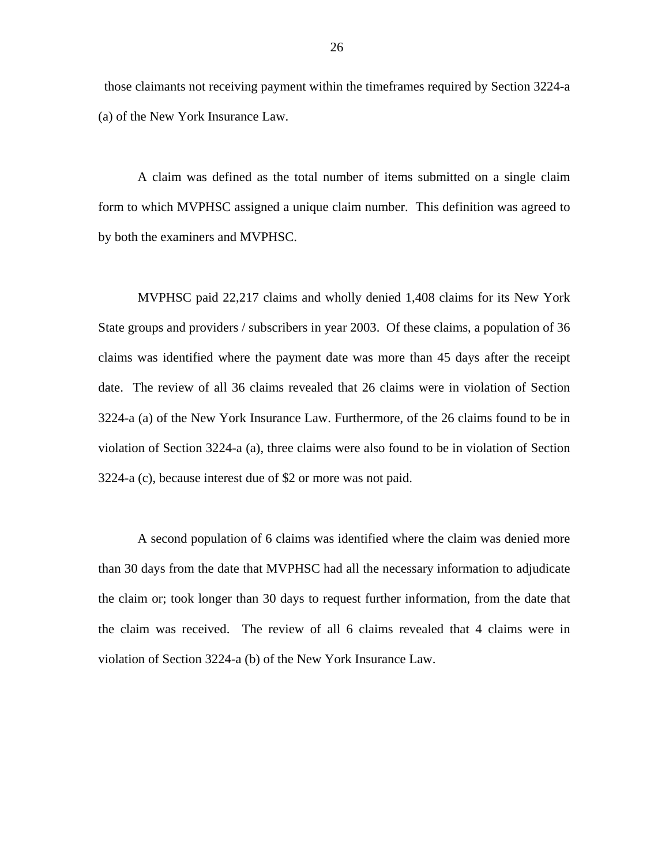those claimants not receiving payment within the timeframes required by Section 3224-a (a) of the New York Insurance Law.

A claim was defined as the total number of items submitted on a single claim form to which MVPHSC assigned a unique claim number. This definition was agreed to by both the examiners and MVPHSC.

MVPHSC paid 22,217 claims and wholly denied 1,408 claims for its New York State groups and providers / subscribers in year 2003. Of these claims, a population of 36 claims was identified where the payment date was more than 45 days after the receipt date. The review of all 36 claims revealed that 26 claims were in violation of Section 3224-a (a) of the New York Insurance Law. Furthermore, of the 26 claims found to be in violation of Section 3224-a (a), three claims were also found to be in violation of Section 3224-a (c), because interest due of \$2 or more was not paid.

A second population of 6 claims was identified where the claim was denied more than 30 days from the date that MVPHSC had all the necessary information to adjudicate the claim or; took longer than 30 days to request further information, from the date that the claim was received. The review of all 6 claims revealed that 4 claims were in violation of Section 3224-a (b) of the New York Insurance Law.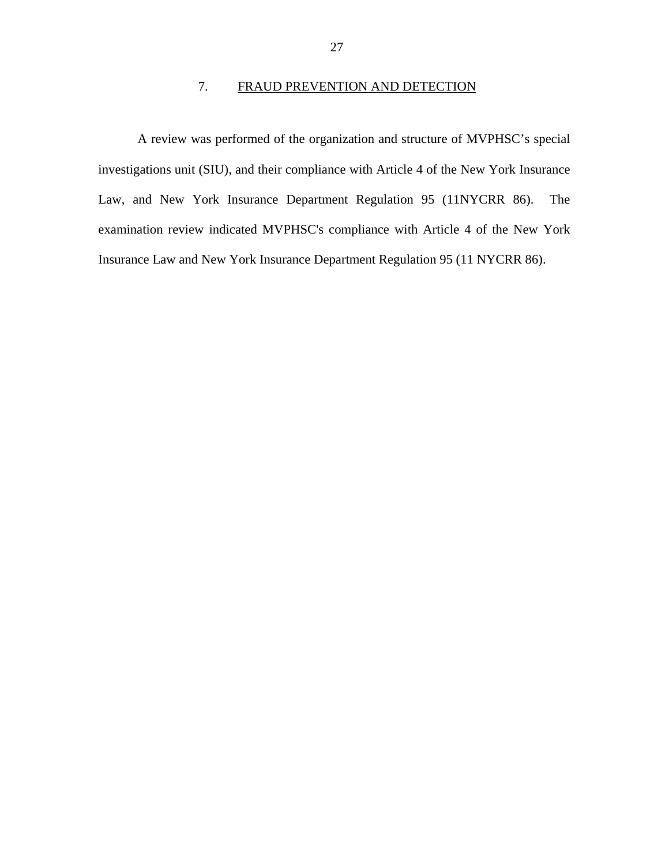# 7. FRAUD PREVENTION AND DETECTION

<span id="page-28-0"></span>A review was performed of the organization and structure of MVPHSC's special investigations unit (SIU), and their compliance with Article 4 of the New York Insurance Law, and New York Insurance Department Regulation 95 (11NYCRR 86). The examination review indicated MVPHSC's compliance with Article 4 of the New York Insurance Law and New York Insurance Department Regulation 95 (11 NYCRR 86).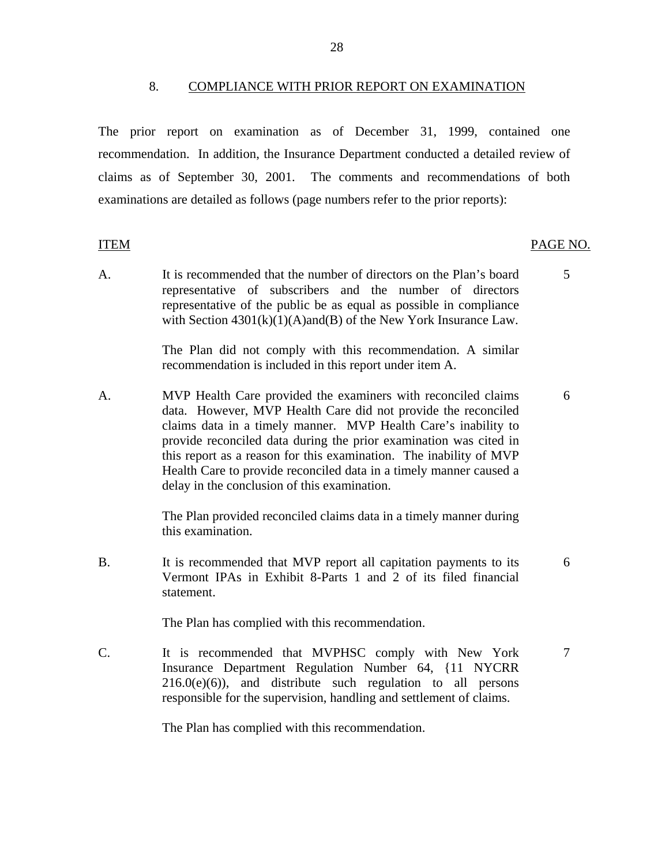28

#### 8. COMPLIANCE WITH PRIOR REPORT ON EXAMINATION

<span id="page-29-0"></span>The prior report on examination as of December 31, 1999, contained one recommendation. In addition, the Insurance Department conducted a detailed review of claims as of September 30, 2001. The comments and recommendations of both examinations are detailed as follows (page numbers refer to the prior reports):

#### ITEM

#### PAGE NO.

A. It is recommended that the number of directors on the Plan's board 5 representative of subscribers and the number of directors representative of the public be as equal as possible in compliance with Section  $4301(k)(1)(A)$ and(B) of the New York Insurance Law.

> The Plan did not comply with this recommendation. A similar recommendation is included in this report under item A.

A. MVP Health Care provided the examiners with reconciled claims 6 data. However, MVP Health Care did not provide the reconciled claims data in a timely manner. MVP Health Care's inability to provide reconciled data during the prior examination was cited in this report as a reason for this examination. The inability of MVP Health Care to provide reconciled data in a timely manner caused a delay in the conclusion of this examination.

> The Plan provided reconciled claims data in a timely manner during this examination.

B. It is recommended that MVP report all capitation payments to its 6 Vermont IPAs in Exhibit 8-Parts 1 and 2 of its filed financial statement.

The Plan has complied with this recommendation.

C. It is recommended that MVPHSC comply with New York 7 Insurance Department Regulation Number 64, {11 NYCRR  $216.0(e)(6)$ , and distribute such regulation to all persons responsible for the supervision, handling and settlement of claims.

The Plan has complied with this recommendation.

- 
-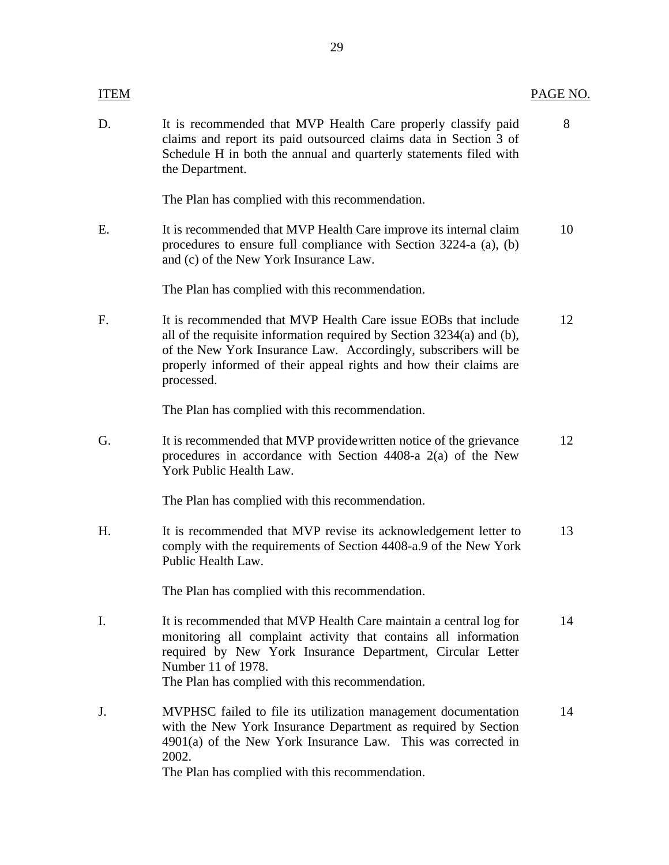| <b>ITEM</b> |                                                                                                                                                                                                                                                                                               | PAGE NO. |
|-------------|-----------------------------------------------------------------------------------------------------------------------------------------------------------------------------------------------------------------------------------------------------------------------------------------------|----------|
| D.          | It is recommended that MVP Health Care properly classify paid<br>claims and report its paid outsourced claims data in Section 3 of<br>Schedule H in both the annual and quarterly statements filed with<br>the Department.                                                                    | 8        |
|             | The Plan has complied with this recommendation.                                                                                                                                                                                                                                               |          |
| Ε.          | It is recommended that MVP Health Care improve its internal claim<br>procedures to ensure full compliance with Section 3224-a (a), (b)<br>and (c) of the New York Insurance Law.                                                                                                              | 10       |
|             | The Plan has complied with this recommendation.                                                                                                                                                                                                                                               |          |
| F.          | It is recommended that MVP Health Care issue EOBs that include<br>all of the requisite information required by Section 3234(a) and (b),<br>of the New York Insurance Law. Accordingly, subscribers will be<br>properly informed of their appeal rights and how their claims are<br>processed. | 12       |
|             | The Plan has complied with this recommendation.                                                                                                                                                                                                                                               |          |
| G.          | It is recommended that MVP provide written notice of the grievance<br>procedures in accordance with Section 4408-a 2(a) of the New<br>York Public Health Law.                                                                                                                                 | 12       |
|             | The Plan has complied with this recommendation.                                                                                                                                                                                                                                               |          |
| H.          | It is recommended that MVP revise its acknowledgement letter to<br>comply with the requirements of Section 4408-a.9 of the New York<br>Public Health Law.                                                                                                                                     | 13       |
|             | The Plan has complied with this recommendation.                                                                                                                                                                                                                                               |          |
| I.          | It is recommended that MVP Health Care maintain a central log for<br>monitoring all complaint activity that contains all information<br>required by New York Insurance Department, Circular Letter<br>Number 11 of 1978.<br>The Plan has complied with this recommendation.                   | 14       |
| J.          | MVPHSC failed to file its utilization management documentation<br>with the New York Insurance Department as required by Section<br>$4901(a)$ of the New York Insurance Law. This was corrected in<br>2002.<br>The Plan has complied with this recommendation.                                 | 14       |
|             |                                                                                                                                                                                                                                                                                               |          |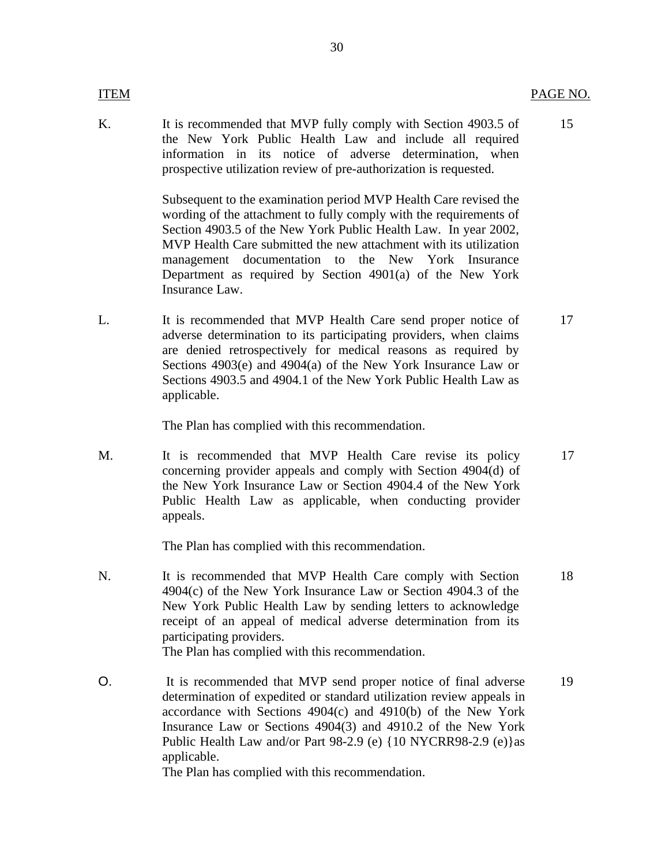#### **ITEM**

K. It is recommended that MVP fully comply with Section 4903.5 of 15 the New York Public Health Law and include all required information in its notice of adverse determination, when prospective utilization review of pre-authorization is requested.

> Subsequent to the examination period MVP Health Care revised the wording of the attachment to fully comply with the requirements of Section 4903.5 of the New York Public Health Law. In year 2002, MVP Health Care submitted the new attachment with its utilization management documentation to the New York Insurance Department as required by Section 4901(a) of the New York Insurance Law.

L. It is recommended that MVP Health Care send proper notice of 17 adverse determination to its participating providers, when claims are denied retrospectively for medical reasons as required by Sections 4903(e) and 4904(a) of the New York Insurance Law or Sections 4903.5 and 4904.1 of the New York Public Health Law as applicable.

The Plan has complied with this recommendation.

M. It is recommended that MVP Health Care revise its policy 17 concerning provider appeals and comply with Section 4904(d) of the New York Insurance Law or Section 4904.4 of the New York Public Health Law as applicable, when conducting provider appeals.

The Plan has complied with this recommendation.

- N. It is recommended that MVP Health Care comply with Section 18 4904(c) of the New York Insurance Law or Section 4904.3 of the New York Public Health Law by sending letters to acknowledge receipt of an appeal of medical adverse determination from its participating providers. The Plan has complied with this recommendation.
- O. It is recommended that MVP send proper notice of final adverse 19 determination of expedited or standard utilization review appeals in accordance with Sections 4904(c) and 4910(b) of the New York Insurance Law or Sections 4904(3) and 4910.2 of the New York Public Health Law and/or Part 98-2.9 (e) {10 NYCRR98-2.9 (e)}as applicable.

The Plan has complied with this recommendation.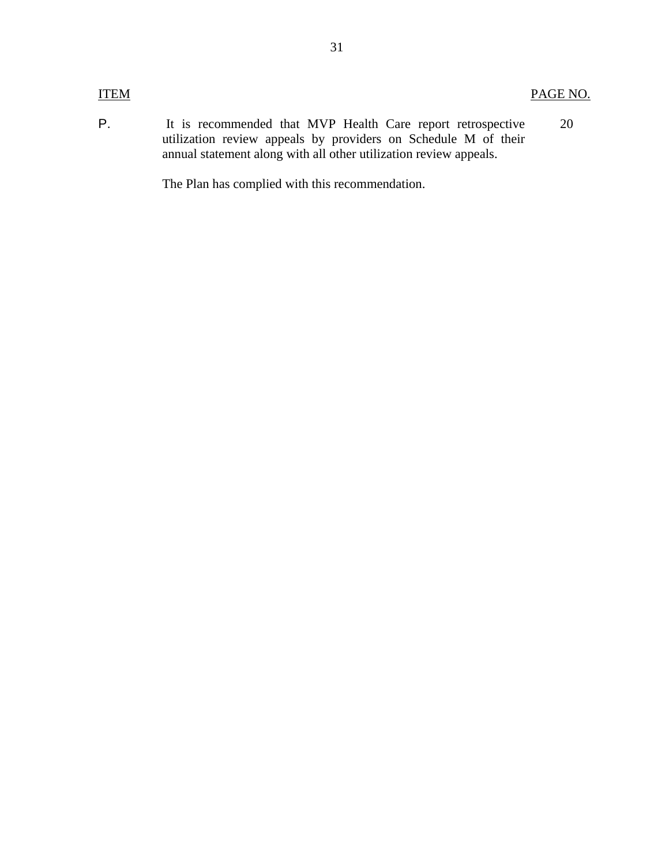#### **ITEM**

PAGE NO.

The Plan has complied with this recommendation.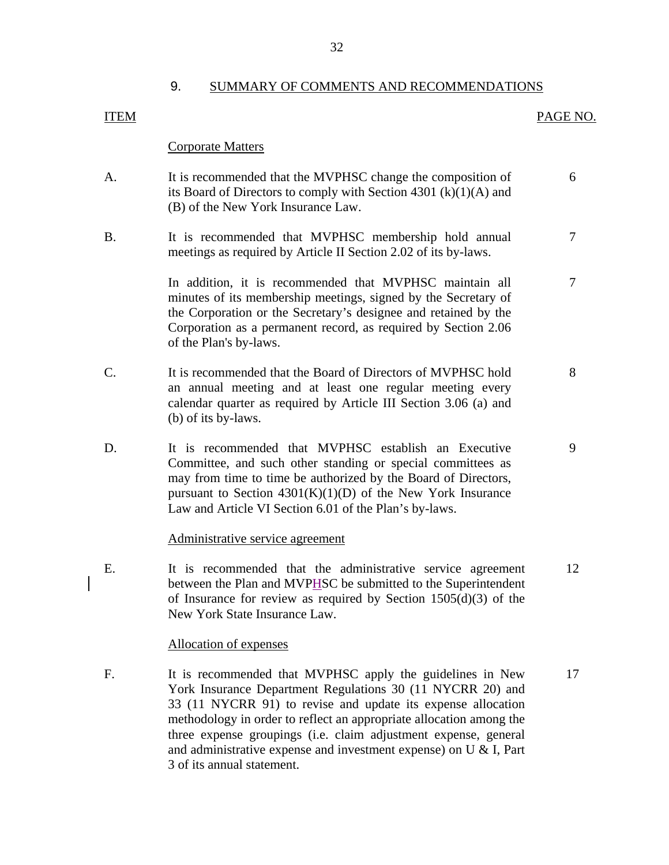#### 9. SUMMARY OF COMMENTS AND RECOMMENDATIONS

# Corporate Matters

PAGE NO.

- A. It is recommended that the MVPHSC change the composition of 6 its Board of Directors to comply with Section 4301 (k)(1)(A) and (B) of the New York Insurance Law.
- B. It is recommended that MVPHSC membership hold annual 7 meetings as required by Article II Section 2.02 of its by-laws.

In addition, it is recommended that MVPHSC maintain all  $\overline{7}$ minutes of its membership meetings, signed by the Secretary of the Corporation or the Secretary's designee and retained by the Corporation as a permanent record, as required by Section 2.06 of the Plan's by-laws.

- C. It is recommended that the Board of Directors of MVPHSC hold 8 an annual meeting and at least one regular meeting every calendar quarter as required by Article III Section 3.06 (a) and (b) of its by-laws.
- D. It is recommended that MVPHSC establish an Executive 9 Committee, and such other standing or special committees as may from time to time be authorized by the Board of Directors, pursuant to Section  $4301(K)(1)(D)$  of the New York Insurance Law and Article VI Section 6.01 of the Plan's by-laws.

#### Administrative service agreement

E. It is recommended that the administrative service agreement 12 between the Plan and MVPHSC be submitted to the Superintendent of Insurance for review as required by Section  $1505(d)(3)$  of the New York State Insurance Law.

#### Allocation of expenses

<span id="page-33-0"></span>**ITEM** 

F. It is recommended that MVPHSC apply the guidelines in New 17 York Insurance Department Regulations 30 (11 NYCRR 20) and 33 (11 NYCRR 91) to revise and update its expense allocation methodology in order to reflect an appropriate allocation among the three expense groupings (i.e. claim adjustment expense, general and administrative expense and investment expense) on U & I, Part 3 of its annual statement.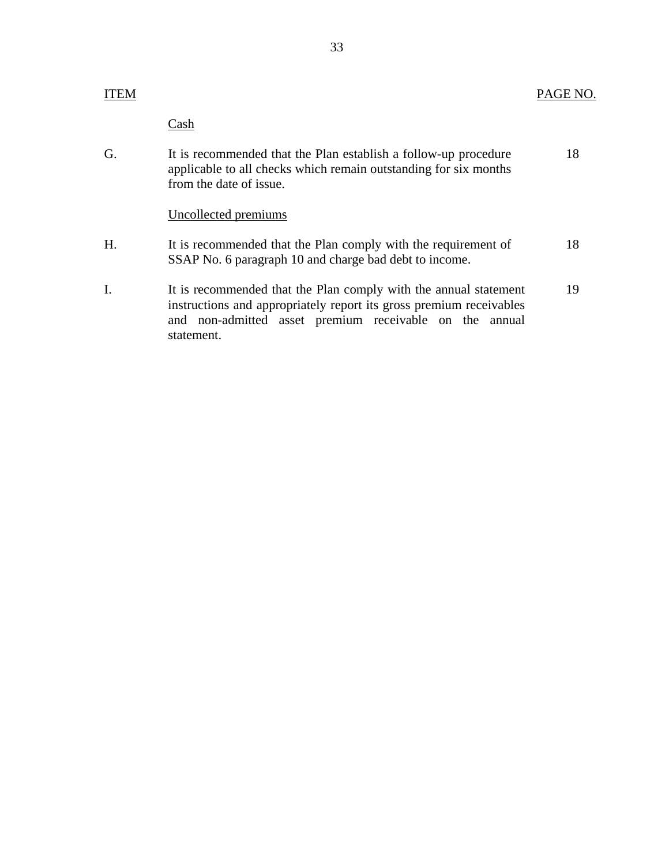# **ITEM**

# PAGE NO.

**Cash** 

statement.

| G. | It is recommended that the Plan establish a follow-up procedure<br>applicable to all checks which remain outstanding for six months<br>from the date of issue.                                     | 18 |
|----|----------------------------------------------------------------------------------------------------------------------------------------------------------------------------------------------------|----|
|    | Uncollected premiums                                                                                                                                                                               |    |
| H. | It is recommended that the Plan comply with the requirement of<br>SSAP No. 6 paragraph 10 and charge bad debt to income.                                                                           | 18 |
| I. | It is recommended that the Plan comply with the annual statement<br>instructions and appropriately report its gross premium receivables<br>and non-admitted asset premium receivable on the annual | 19 |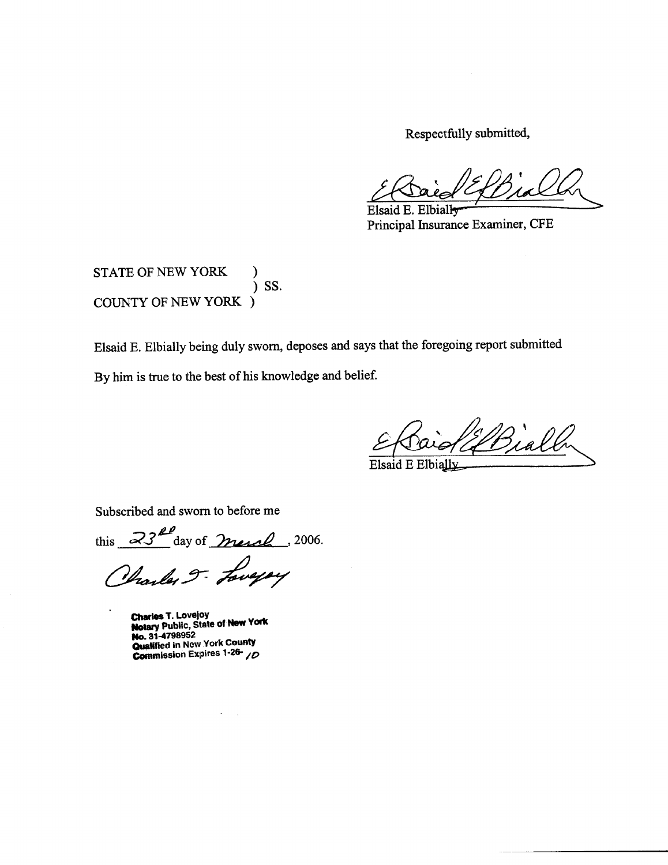Respectfully submitted,

Elsaid E. Elbially Principal Insurance Examiner, CFE

STATE OF NEW YORK SS. **COUNTY OF NEW YORK )** 

Elsaid E. Elbially being duly sworn, deposes and says that the foregoing report submitted

By him is true to the best of his knowledge and belief.

Bially

Elsaid E Elbially

Subscribed and sworn to before me

this  $23<sup>20</sup>$  day of merch, 2006.

Charles J. Loweyay

Charles T. Lovejoy<br>Notary Public, State of New York No. 31-4798952 Qualified in New York County Commission Expires 1-26-10